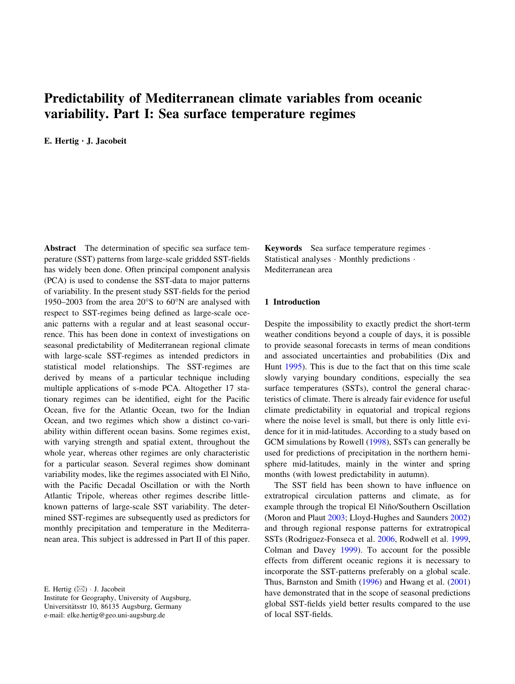# Predictability of Mediterranean climate variables from oceanic variability. Part I: Sea surface temperature regimes

E. Hertig • J. Jacobeit

Abstract The determination of specific sea surface temperature (SST) patterns from large-scale gridded SST-fields has widely been done. Often principal component analysis (PCA) is used to condense the SST-data to major patterns of variability. In the present study SST-fields for the period 1950–2003 from the area  $20^{\circ}$ S to  $60^{\circ}$ N are analysed with respect to SST-regimes being defined as large-scale oceanic patterns with a regular and at least seasonal occurrence. This has been done in context of investigations on seasonal predictability of Mediterranean regional climate with large-scale SST-regimes as intended predictors in statistical model relationships. The SST-regimes are derived by means of a particular technique including multiple applications of s-mode PCA. Altogether 17 stationary regimes can be identified, eight for the Pacific Ocean, five for the Atlantic Ocean, two for the Indian Ocean, and two regimes which show a distinct co-variability within different ocean basins. Some regimes exist, with varying strength and spatial extent, throughout the whole year, whereas other regimes are only characteristic for a particular season. Several regimes show dominant variability modes, like the regimes associated with El Niño, with the Pacific Decadal Oscillation or with the North Atlantic Tripole, whereas other regimes describe littleknown patterns of large-scale SST variability. The determined SST-regimes are subsequently used as predictors for monthly precipitation and temperature in the Mediterranean area. This subject is addressed in Part II of this paper.

E. Hertig (⊠) · J. Jacobeit Institute for Geography, University of Augsburg, Universitätsstr 10, 86135 Augsburg, Germany e-mail: elke.hertig@geo.uni-augsburg.de

Keywords Sea surface temperature regimes  $\cdot$ Statistical analyses - Monthly predictions - Mediterranean area

## 1 Introduction

Despite the impossibility to exactly predict the short-term weather conditions beyond a couple of days, it is possible to provide seasonal forecasts in terms of mean conditions and associated uncertainties and probabilities (Dix and Hunt [1995](#page-11-0)). This is due to the fact that on this time scale slowly varying boundary conditions, especially the sea surface temperatures (SSTs), control the general characteristics of climate. There is already fair evidence for useful climate predictability in equatorial and tropical regions where the noise level is small, but there is only little evidence for it in mid-latitudes. According to a study based on GCM simulations by Rowell ([1998\)](#page-11-0), SSTs can generally be used for predictions of precipitation in the northern hemisphere mid-latitudes, mainly in the winter and spring months (with lowest predictability in autumn).

The SST field has been shown to have influence on extratropical circulation patterns and climate, as for example through the tropical El Niño/Southern Oscillation (Moron and Plaut [2003](#page-11-0); Lloyd-Hughes and Saunders [2002\)](#page-11-0) and through regional response patterns for extratropical SSTs (Rodriguez-Fonseca et al. [2006,](#page-11-0) Rodwell et al. [1999,](#page-11-0) Colman and Davey [1999\)](#page-10-0). To account for the possible effects from different oceanic regions it is necessary to incorporate the SST-patterns preferably on a global scale. Thus, Barnston and Smith ([1996\)](#page-10-0) and Hwang et al. ([2001\)](#page-11-0) have demonstrated that in the scope of seasonal predictions global SST-fields yield better results compared to the use of local SST-fields.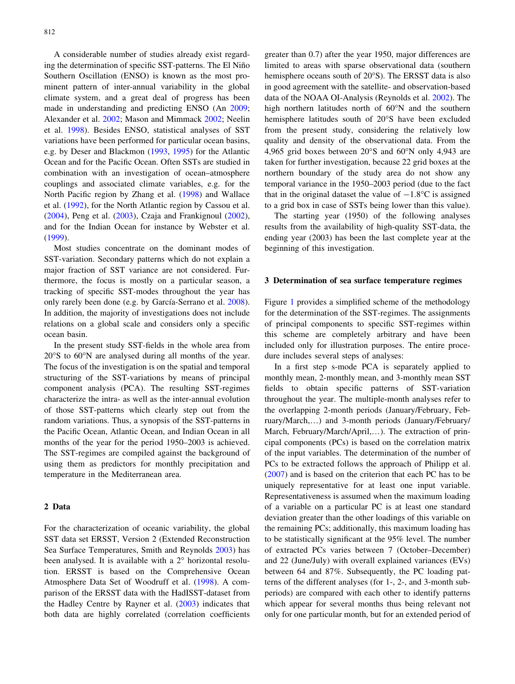<span id="page-1-0"></span>A considerable number of studies already exist regarding the determination of specific SST-patterns. The El Niño Southern Oscillation (ENSO) is known as the most prominent pattern of inter-annual variability in the global climate system, and a great deal of progress has been made in understanding and predicting ENSO (An [2009](#page-10-0); Alexander et al. [2002;](#page-10-0) Mason and Mimmack [2002;](#page-11-0) Neelin et al. [1998\)](#page-11-0). Besides ENSO, statistical analyses of SST variations have been performed for particular ocean basins, e.g. by Deser and Blackmon [\(1993](#page-10-0), [1995\)](#page-11-0) for the Atlantic Ocean and for the Pacific Ocean. Often SSTs are studied in combination with an investigation of ocean–atmosphere couplings and associated climate variables, e.g. for the North Pacific region by Zhang et al. ([1998\)](#page-12-0) and Wallace et al. [\(1992](#page-11-0)), for the North Atlantic region by Cassou et al. [\(2004](#page-10-0)), Peng et al. [\(2003](#page-11-0)), Czaja and Frankignoul [\(2002](#page-10-0)), and for the Indian Ocean for instance by Webster et al. [\(1999](#page-11-0)).

Most studies concentrate on the dominant modes of SST-variation. Secondary patterns which do not explain a major fraction of SST variance are not considered. Furthermore, the focus is mostly on a particular season, a tracking of specific SST-modes throughout the year has only rarely been done (e.g. by García-Serrano et al. [2008](#page-11-0)). In addition, the majority of investigations does not include relations on a global scale and considers only a specific ocean basin.

In the present study SST-fields in the whole area from  $20^{\circ}$ S to  $60^{\circ}$ N are analysed during all months of the year. The focus of the investigation is on the spatial and temporal structuring of the SST-variations by means of principal component analysis (PCA). The resulting SST-regimes characterize the intra- as well as the inter-annual evolution of those SST-patterns which clearly step out from the random variations. Thus, a synopsis of the SST-patterns in the Pacific Ocean, Atlantic Ocean, and Indian Ocean in all months of the year for the period 1950–2003 is achieved. The SST-regimes are compiled against the background of using them as predictors for monthly precipitation and temperature in the Mediterranean area.

## 2 Data

For the characterization of oceanic variability, the global SST data set ERSST, Version 2 (Extended Reconstruction Sea Surface Temperatures, Smith and Reynolds [2003](#page-11-0)) has been analysed. It is available with a  $2^{\circ}$  horizontal resolution. ERSST is based on the Comprehensive Ocean Atmosphere Data Set of Woodruff et al. ([1998\)](#page-11-0). A comparison of the ERSST data with the HadISST-dataset from the Hadley Centre by Rayner et al. ([2003\)](#page-11-0) indicates that both data are highly correlated (correlation coefficients greater than 0.7) after the year 1950, major differences are limited to areas with sparse observational data (southern hemisphere oceans south of  $20^{\circ}$ S). The ERSST data is also in good agreement with the satellite- and observation-based data of the NOAA OI-Analysis (Reynolds et al. [2002](#page-11-0)). The high northern latitudes north of  $60^{\circ}$ N and the southern hemisphere latitudes south of 20°S have been excluded from the present study, considering the relatively low quality and density of the observational data. From the 4,965 grid boxes between  $20^{\circ}$ S and  $60^{\circ}$ N only 4,943 are taken for further investigation, because 22 grid boxes at the northern boundary of the study area do not show any temporal variance in the 1950–2003 period (due to the fact that in the original dataset the value of  $-1.8\degree C$  is assigned to a grid box in case of SSTs being lower than this value).

The starting year (1950) of the following analyses results from the availability of high-quality SST-data, the ending year (2003) has been the last complete year at the beginning of this investigation.

#### 3 Determination of sea surface temperature regimes

Figure [1](#page-2-0) provides a simplified scheme of the methodology for the determination of the SST-regimes. The assignments of principal components to specific SST-regimes within this scheme are completely arbitrary and have been included only for illustration purposes. The entire procedure includes several steps of analyses:

In a first step s-mode PCA is separately applied to monthly mean, 2-monthly mean, and 3-monthly mean SST fields to obtain specific patterns of SST-variation throughout the year. The multiple-month analyses refer to the overlapping 2-month periods (January/February, February/March,…) and 3-month periods (January/February/ March, February/March/April,…). The extraction of principal components (PCs) is based on the correlation matrix of the input variables. The determination of the number of PCs to be extracted follows the approach of Philipp et al. [\(2007](#page-11-0)) and is based on the criterion that each PC has to be uniquely representative for at least one input variable. Representativeness is assumed when the maximum loading of a variable on a particular PC is at least one standard deviation greater than the other loadings of this variable on the remaining PCs; additionally, this maximum loading has to be statistically significant at the 95% level. The number of extracted PCs varies between 7 (October–December) and 22 (June/July) with overall explained variances (EVs) between 64 and 87%. Subsequently, the PC loading patterns of the different analyses (for 1-, 2-, and 3-month subperiods) are compared with each other to identify patterns which appear for several months thus being relevant not only for one particular month, but for an extended period of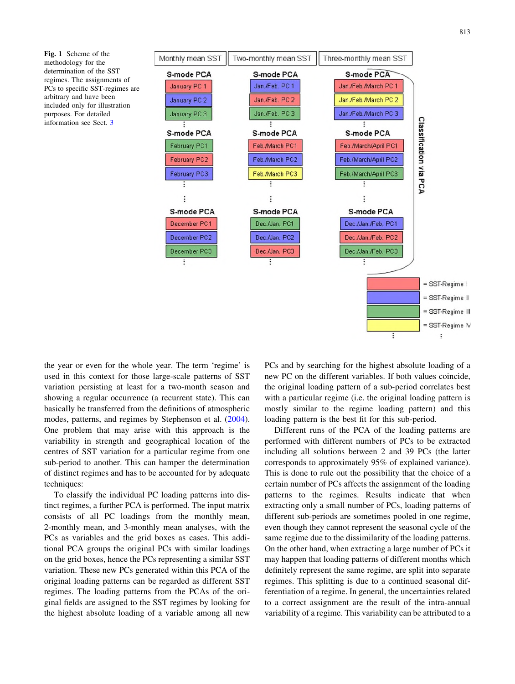<span id="page-2-0"></span>Fig. 1 Scheme of the methodology for the determination of the SST regimes. The assignments of PCs to specific SST-regimes are arbitrary and have been included only for illustration purposes. For detailed information see Sect. [3](#page-1-0)



the year or even for the whole year. The term 'regime' is used in this context for those large-scale patterns of SST variation persisting at least for a two-month season and showing a regular occurrence (a recurrent state). This can basically be transferred from the definitions of atmospheric modes, patterns, and regimes by Stephenson et al. [\(2004](#page-11-0)). One problem that may arise with this approach is the variability in strength and geographical location of the centres of SST variation for a particular regime from one sub-period to another. This can hamper the determination of distinct regimes and has to be accounted for by adequate techniques:

To classify the individual PC loading patterns into distinct regimes, a further PCA is performed. The input matrix consists of all PC loadings from the monthly mean, 2-monthly mean, and 3-monthly mean analyses, with the PCs as variables and the grid boxes as cases. This additional PCA groups the original PCs with similar loadings on the grid boxes, hence the PCs representing a similar SST variation. These new PCs generated within this PCA of the original loading patterns can be regarded as different SST regimes. The loading patterns from the PCAs of the original fields are assigned to the SST regimes by looking for the highest absolute loading of a variable among all new PCs and by searching for the highest absolute loading of a new PC on the different variables. If both values coincide, the original loading pattern of a sub-period correlates best with a particular regime (i.e. the original loading pattern is mostly similar to the regime loading pattern) and this loading pattern is the best fit for this sub-period.

Different runs of the PCA of the loading patterns are performed with different numbers of PCs to be extracted including all solutions between 2 and 39 PCs (the latter corresponds to approximately 95% of explained variance). This is done to rule out the possibility that the choice of a certain number of PCs affects the assignment of the loading patterns to the regimes. Results indicate that when extracting only a small number of PCs, loading patterns of different sub-periods are sometimes pooled in one regime, even though they cannot represent the seasonal cycle of the same regime due to the dissimilarity of the loading patterns. On the other hand, when extracting a large number of PCs it may happen that loading patterns of different months which definitely represent the same regime, are split into separate regimes. This splitting is due to a continued seasonal differentiation of a regime. In general, the uncertainties related to a correct assignment are the result of the intra-annual variability of a regime. This variability can be attributed to a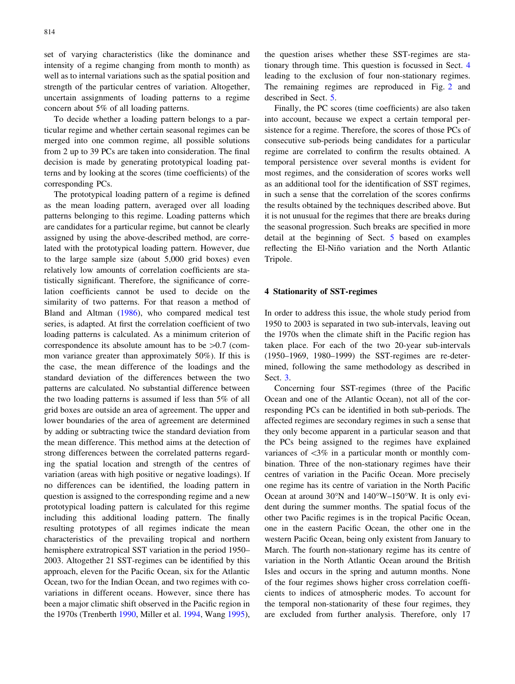<span id="page-3-0"></span>set of varying characteristics (like the dominance and intensity of a regime changing from month to month) as well as to internal variations such as the spatial position and strength of the particular centres of variation. Altogether, uncertain assignments of loading patterns to a regime concern about 5% of all loading patterns.

To decide whether a loading pattern belongs to a particular regime and whether certain seasonal regimes can be merged into one common regime, all possible solutions from 2 up to 39 PCs are taken into consideration. The final decision is made by generating prototypical loading patterns and by looking at the scores (time coefficients) of the corresponding PCs.

The prototypical loading pattern of a regime is defined as the mean loading pattern, averaged over all loading patterns belonging to this regime. Loading patterns which are candidates for a particular regime, but cannot be clearly assigned by using the above-described method, are correlated with the prototypical loading pattern. However, due to the large sample size (about 5,000 grid boxes) even relatively low amounts of correlation coefficients are statistically significant. Therefore, the significance of correlation coefficients cannot be used to decide on the similarity of two patterns. For that reason a method of Bland and Altman [\(1986](#page-10-0)), who compared medical test series, is adapted. At first the correlation coefficient of two loading patterns is calculated. As a minimum criterion of correspondence its absolute amount has to be  $>0.7$  (common variance greater than approximately 50%). If this is the case, the mean difference of the loadings and the standard deviation of the differences between the two patterns are calculated. No substantial difference between the two loading patterns is assumed if less than 5% of all grid boxes are outside an area of agreement. The upper and lower boundaries of the area of agreement are determined by adding or subtracting twice the standard deviation from the mean difference. This method aims at the detection of strong differences between the correlated patterns regarding the spatial location and strength of the centres of variation (areas with high positive or negative loadings). If no differences can be identified, the loading pattern in question is assigned to the corresponding regime and a new prototypical loading pattern is calculated for this regime including this additional loading pattern. The finally resulting prototypes of all regimes indicate the mean characteristics of the prevailing tropical and northern hemisphere extratropical SST variation in the period 1950– 2003. Altogether 21 SST-regimes can be identified by this approach, eleven for the Pacific Ocean, six for the Atlantic Ocean, two for the Indian Ocean, and two regimes with covariations in different oceans. However, since there has been a major climatic shift observed in the Pacific region in the 1970s (Trenberth [1990](#page-11-0), Miller et al. [1994,](#page-11-0) Wang [1995](#page-11-0)), the question arises whether these SST-regimes are stationary through time. This question is focussed in Sect. 4 leading to the exclusion of four non-stationary regimes. The remaining regimes are reproduced in Fig. [2](#page-4-0) and described in Sect. [5](#page-5-0).

Finally, the PC scores (time coefficients) are also taken into account, because we expect a certain temporal persistence for a regime. Therefore, the scores of those PCs of consecutive sub-periods being candidates for a particular regime are correlated to confirm the results obtained. A temporal persistence over several months is evident for most regimes, and the consideration of scores works well as an additional tool for the identification of SST regimes, in such a sense that the correlation of the scores confirms the results obtained by the techniques described above. But it is not unusual for the regimes that there are breaks during the seasonal progression. Such breaks are specified in more detail at the beginning of Sect. [5](#page-5-0) based on examples reflecting the El-Niño variation and the North Atlantic Tripole.

## 4 Stationarity of SST-regimes

In order to address this issue, the whole study period from 1950 to 2003 is separated in two sub-intervals, leaving out the 1970s when the climate shift in the Pacific region has taken place. For each of the two 20-year sub-intervals (1950–1969, 1980–1999) the SST-regimes are re-determined, following the same methodology as described in Sect. [3](#page-1-0).

Concerning four SST-regimes (three of the Pacific Ocean and one of the Atlantic Ocean), not all of the corresponding PCs can be identified in both sub-periods. The affected regimes are secondary regimes in such a sense that they only become apparent in a particular season and that the PCs being assigned to the regimes have explained variances of  $\langle 3\% \rangle$  in a particular month or monthly combination. Three of the non-stationary regimes have their centres of variation in the Pacific Ocean. More precisely one regime has its centre of variation in the North Pacific Ocean at around  $30^{\circ}$ N and  $140^{\circ}$ W $-150^{\circ}$ W. It is only evident during the summer months. The spatial focus of the other two Pacific regimes is in the tropical Pacific Ocean, one in the eastern Pacific Ocean, the other one in the western Pacific Ocean, being only existent from January to March. The fourth non-stationary regime has its centre of variation in the North Atlantic Ocean around the British Isles and occurs in the spring and autumn months. None of the four regimes shows higher cross correlation coefficients to indices of atmospheric modes. To account for the temporal non-stationarity of these four regimes, they are excluded from further analysis. Therefore, only 17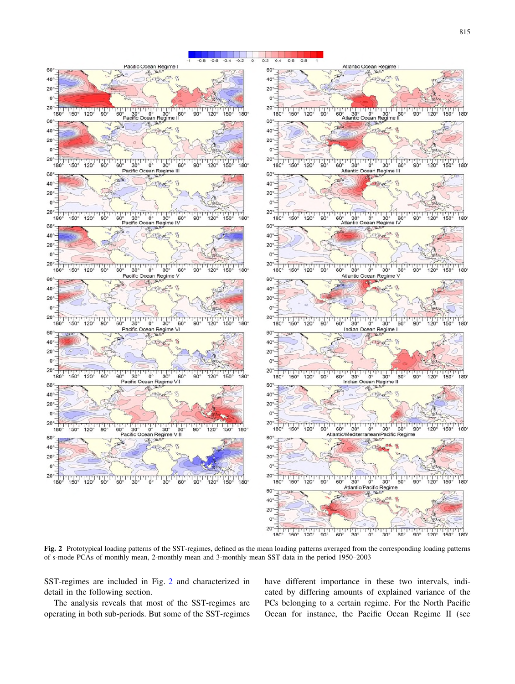<span id="page-4-0"></span>

 $-0.6$  $-0.4$  $-0.7$  $\overline{a}$  $0.2$  $0.4$  $0.6$ 

 $60$ 

Pacific Ocean Regime

60°

Fig. 2 Prototypical loading patterns of the SST-regimes, defined as the mean loading patterns averaged from the corresponding loading patterns of s-mode PCAs of monthly mean, 2-monthly mean and 3-monthly mean SST data in the period 1950–2003

SST-regimes are included in Fig. 2 and characterized in detail in the following section.

The analysis reveals that most of the SST-regimes are operating in both sub-periods. But some of the SST-regimes have different importance in these two intervals, indicated by differing amounts of explained variance of the PCs belonging to a certain regime. For the North Pacific Ocean for instance, the Pacific Ocean Regime II (see

Atlantic Ocean Regime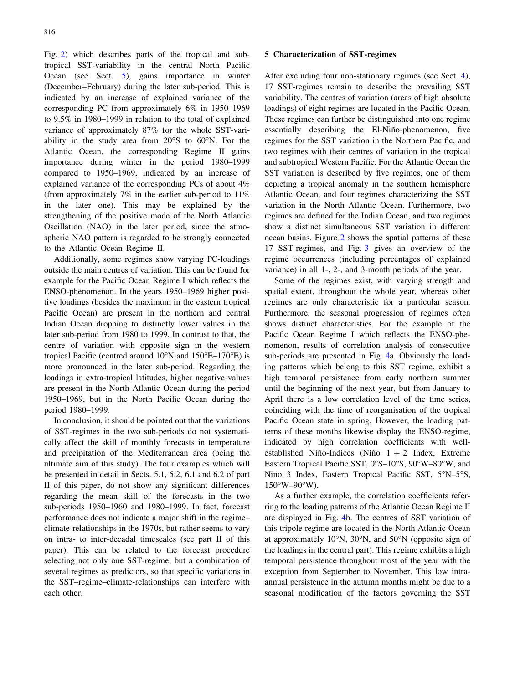<span id="page-5-0"></span>Fig. [2](#page-4-0)) which describes parts of the tropical and subtropical SST-variability in the central North Pacific Ocean (see Sect. 5), gains importance in winter (December–February) during the later sub-period. This is indicated by an increase of explained variance of the corresponding PC from approximately 6% in 1950–1969 to 9.5% in 1980–1999 in relation to the total of explained variance of approximately 87% for the whole SST-variability in the study area from  $20^{\circ}$ S to  $60^{\circ}$ N. For the Atlantic Ocean, the corresponding Regime II gains importance during winter in the period 1980–1999 compared to 1950–1969, indicated by an increase of explained variance of the corresponding PCs of about 4% (from approximately  $7\%$  in the earlier sub-period to  $11\%$ in the later one). This may be explained by the strengthening of the positive mode of the North Atlantic Oscillation (NAO) in the later period, since the atmospheric NAO pattern is regarded to be strongly connected to the Atlantic Ocean Regime II.

Additionally, some regimes show varying PC-loadings outside the main centres of variation. This can be found for example for the Pacific Ocean Regime I which reflects the ENSO-phenomenon. In the years 1950–1969 higher positive loadings (besides the maximum in the eastern tropical Pacific Ocean) are present in the northern and central Indian Ocean dropping to distinctly lower values in the later sub-period from 1980 to 1999. In contrast to that, the centre of variation with opposite sign in the western tropical Pacific (centred around  $10^{\circ}$ N and  $150^{\circ}$ E $-170^{\circ}$ E) is more pronounced in the later sub-period. Regarding the loadings in extra-tropical latitudes, higher negative values are present in the North Atlantic Ocean during the period 1950–1969, but in the North Pacific Ocean during the period 1980–1999.

In conclusion, it should be pointed out that the variations of SST-regimes in the two sub-periods do not systematically affect the skill of monthly forecasts in temperature and precipitation of the Mediterranean area (being the ultimate aim of this study). The four examples which will be presented in detail in Sects. 5.1, 5.2, 6.1 and 6.2 of part II of this paper, do not show any significant differences regarding the mean skill of the forecasts in the two sub-periods 1950–1960 and 1980–1999. In fact, forecast performance does not indicate a major shift in the regime– climate-relationships in the 1970s, but rather seems to vary on intra- to inter-decadal timescales (see part II of this paper). This can be related to the forecast procedure selecting not only one SST-regime, but a combination of several regimes as predictors, so that specific variations in the SST–regime–climate-relationships can interfere with each other.

#### 5 Characterization of SST-regimes

After excluding four non-stationary regimes (see Sect. [4](#page-3-0)), 17 SST-regimes remain to describe the prevailing SST variability. The centres of variation (areas of high absolute loadings) of eight regimes are located in the Pacific Ocean. These regimes can further be distinguished into one regime essentially describing the El-Niño-phenomenon, five regimes for the SST variation in the Northern Pacific, and two regimes with their centres of variation in the tropical and subtropical Western Pacific. For the Atlantic Ocean the SST variation is described by five regimes, one of them depicting a tropical anomaly in the southern hemisphere Atlantic Ocean, and four regimes characterizing the SST variation in the North Atlantic Ocean. Furthermore, two regimes are defined for the Indian Ocean, and two regimes show a distinct simultaneous SST variation in different ocean basins. Figure [2](#page-4-0) shows the spatial patterns of these 17 SST-regimes, and Fig. [3](#page-6-0) gives an overview of the regime occurrences (including percentages of explained variance) in all 1-, 2-, and 3-month periods of the year.

Some of the regimes exist, with varying strength and spatial extent, throughout the whole year, whereas other regimes are only characteristic for a particular season. Furthermore, the seasonal progression of regimes often shows distinct characteristics. For the example of the Pacific Ocean Regime I which reflects the ENSO-phenomenon, results of correlation analysis of consecutive sub-periods are presented in Fig. [4a](#page-7-0). Obviously the loading patterns which belong to this SST regime, exhibit a high temporal persistence from early northern summer until the beginning of the next year, but from January to April there is a low correlation level of the time series, coinciding with the time of reorganisation of the tropical Pacific Ocean state in spring. However, the loading patterns of these months likewise display the ENSO-regime, indicated by high correlation coefficients with wellestablished Niño-Indices (Niño  $1 + 2$  Index, Extreme Eastern Tropical Pacific SST,  $0^{\circ}S-10^{\circ}S$ ,  $90^{\circ}W-80^{\circ}W$ , and Niño 3 Index, Eastern Tropical Pacific SST, 5°N–5°S,  $150^{\circ}$ W-90°W).

As a further example, the correlation coefficients referring to the loading patterns of the Atlantic Ocean Regime II are displayed in Fig. [4](#page-7-0)b. The centres of SST variation of this tripole regime are located in the North Atlantic Ocean at approximately 10 $\rm N$ , 30 $\rm N$ , and 50 $\rm N$  (opposite sign of the loadings in the central part). This regime exhibits a high temporal persistence throughout most of the year with the exception from September to November. This low intraannual persistence in the autumn months might be due to a seasonal modification of the factors governing the SST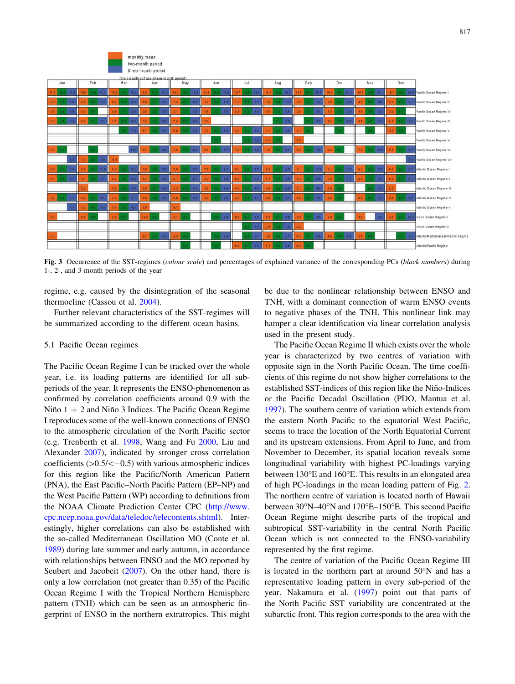<span id="page-6-0"></span>

Fig. 3 Occurrence of the SST-regimes (colour scale) and percentages of explained variance of the corresponding PCs (black numbers) during 1-, 2-, and 3-month periods of the year

regime, e.g. caused by the disintegration of the seasonal thermocline (Cassou et al. [2004](#page-10-0)).

Further relevant characteristics of the SST-regimes will be summarized according to the different ocean basins.

## 5.1 Pacific Ocean regimes

The Pacific Ocean Regime I can be tracked over the whole year, i.e. its loading patterns are identified for all subperiods of the year. It represents the ENSO-phenomenon as confirmed by correlation coefficients around 0.9 with the Niño  $1 + 2$  and Niño 3 Indices. The Pacific Ocean Regime I reproduces some of the well-known connections of ENSO to the atmospheric circulation of the North Pacific sector (e.g. Trenberth et al. [1998,](#page-11-0) Wang and Fu [2000,](#page-11-0) Liu and Alexander [2007](#page-11-0)), indicated by stronger cross correlation coefficients  $(0.5/(-0.5))$  with various atmospheric indices for this region like the Pacific/North American Pattern (PNA), the East Pacific–North Pacific Pattern (EP–NP) and the West Pacific Pattern (WP) according to definitions from the NOAA Climate Prediction Center CPC [\(http://www.](http://www.cpc.ncep.noaa.gov/data/teledoc/telecontents.shtml) [cpc.ncep.noaa.gov/data/teledoc/telecontents.shtml](http://www.cpc.ncep.noaa.gov/data/teledoc/telecontents.shtml)). Interestingly, higher correlations can also be established with the so-called Mediterranean Oscillation MO (Conte et al. [1989\)](#page-10-0) during late summer and early autumn, in accordance with relationships between ENSO and the MO reported by Seubert and Jacobeit ([2007\)](#page-11-0). On the other hand, there is only a low correlation (not greater than 0.35) of the Pacific Ocean Regime I with the Tropical Northern Hemisphere pattern (TNH) which can be seen as an atmospheric fingerprint of ENSO in the northern extratropics. This might be due to the nonlinear relationship between ENSO and TNH, with a dominant connection of warm ENSO events to negative phases of the TNH. This nonlinear link may hamper a clear identification via linear correlation analysis used in the present study.

The Pacific Ocean Regime II which exists over the whole year is characterized by two centres of variation with opposite sign in the North Pacific Ocean. The time coefficients of this regime do not show higher correlations to the established SST-indices of this region like the Niño-Indices or the Pacific Decadal Oscillation (PDO, Mantua et al. [1997](#page-11-0)). The southern centre of variation which extends from the eastern North Pacific to the equatorial West Pacific, seems to trace the location of the North Equatorial Current and its upstream extensions. From April to June, and from November to December, its spatial location reveals some longitudinal variability with highest PC-loadings varying between  $130^{\circ}$ E and  $160^{\circ}$ E. This results in an elongated area of high PC-loadings in the mean loading pattern of Fig. [2.](#page-4-0) The northern centre of variation is located north of Hawaii between  $30^{\circ}$ N–40°N and  $170^{\circ}$ E–150°E. This second Pacific Ocean Regime might describe parts of the tropical and subtropical SST-variability in the central North Pacific Ocean which is not connected to the ENSO-variability represented by the first regime.

The centre of variation of the Pacific Ocean Regime III is located in the northern part at around  $50^{\circ}$ N and has a representative loading pattern in every sub-period of the year. Nakamura et al. [\(1997](#page-11-0)) point out that parts of the North Pacific SST variability are concentrated at the subarctic front. This region corresponds to the area with the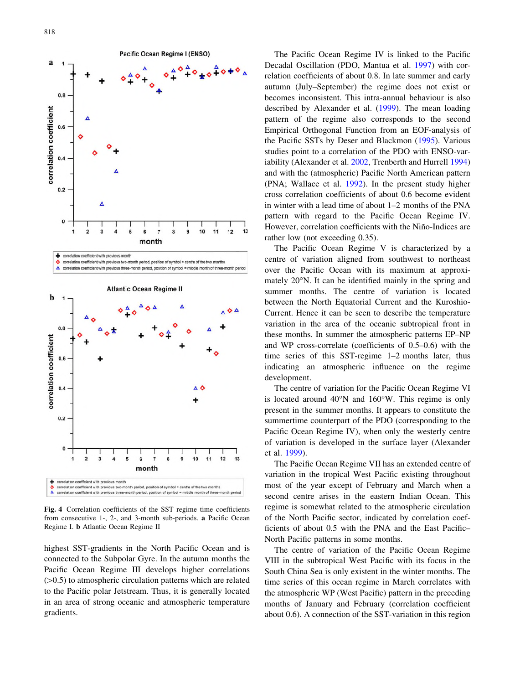<span id="page-7-0"></span>

Fig. 4 Correlation coefficients of the SST regime time coefficients from consecutive 1-, 2-, and 3-month sub-periods. a Pacific Ocean Regime I. b Atlantic Ocean Regime II

highest SST-gradients in the North Pacific Ocean and is connected to the Subpolar Gyre. In the autumn months the Pacific Ocean Regime III develops higher correlations  $(>0.5)$  to atmospheric circulation patterns which are related to the Pacific polar Jetstream. Thus, it is generally located in an area of strong oceanic and atmospheric temperature gradients.

The Pacific Ocean Regime IV is linked to the Pacific Decadal Oscillation (PDO, Mantua et al. [1997](#page-11-0)) with correlation coefficients of about 0.8. In late summer and early autumn (July–September) the regime does not exist or becomes inconsistent. This intra-annual behaviour is also described by Alexander et al. [\(1999](#page-10-0)). The mean loading pattern of the regime also corresponds to the second Empirical Orthogonal Function from an EOF-analysis of the Pacific SSTs by Deser and Blackmon [\(1995](#page-11-0)). Various studies point to a correlation of the PDO with ENSO-variability (Alexander et al. [2002](#page-10-0), Trenberth and Hurrell [1994\)](#page-11-0) and with the (atmospheric) Pacific North American pattern (PNA; Wallace et al. [1992\)](#page-11-0). In the present study higher cross correlation coefficients of about 0.6 become evident in winter with a lead time of about 1–2 months of the PNA pattern with regard to the Pacific Ocean Regime IV. However, correlation coefficients with the Niño-Indices are rather low (not exceeding 0.35).

The Pacific Ocean Regime V is characterized by a centre of variation aligned from southwest to northeast over the Pacific Ocean with its maximum at approximately 20°N. It can be identified mainly in the spring and summer months. The centre of variation is located between the North Equatorial Current and the Kuroshio-Current. Hence it can be seen to describe the temperature variation in the area of the oceanic subtropical front in these months. In summer the atmospheric patterns EP–NP and WP cross-correlate (coefficients of 0.5–0.6) with the time series of this SST-regime 1–2 months later, thus indicating an atmospheric influence on the regime development.

The centre of variation for the Pacific Ocean Regime VI is located around  $40^{\circ}$ N and  $160^{\circ}$ W. This regime is only present in the summer months. It appears to constitute the summertime counterpart of the PDO (corresponding to the Pacific Ocean Regime IV), when only the westerly centre of variation is developed in the surface layer (Alexander et al. [1999\)](#page-10-0).

The Pacific Ocean Regime VII has an extended centre of variation in the tropical West Pacific existing throughout most of the year except of February and March when a second centre arises in the eastern Indian Ocean. This regime is somewhat related to the atmospheric circulation of the North Pacific sector, indicated by correlation coefficients of about 0.5 with the PNA and the East Pacific– North Pacific patterns in some months.

The centre of variation of the Pacific Ocean Regime VIII in the subtropical West Pacific with its focus in the South China Sea is only existent in the winter months. The time series of this ocean regime in March correlates with the atmospheric WP (West Pacific) pattern in the preceding months of January and February (correlation coefficient about 0.6). A connection of the SST-variation in this region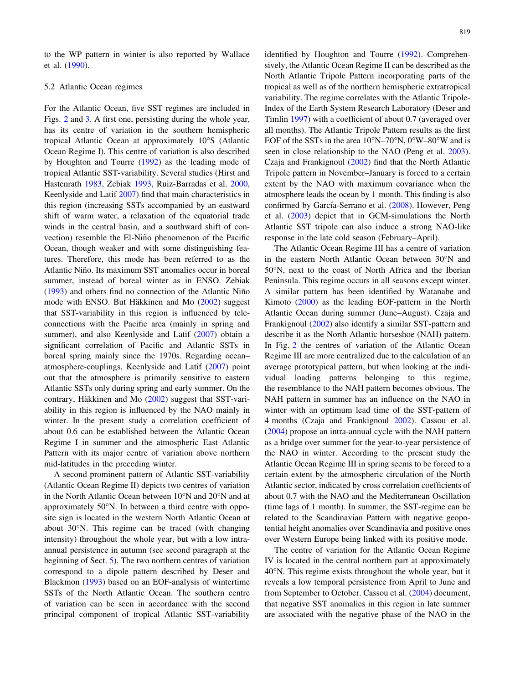to the WP pattern in winter is also reported by Wallace et al. [\(1990](#page-11-0)).

#### 5.2 Atlantic Ocean regimes

For the Atlantic Ocean, five SST regimes are included in Figs. [2](#page-4-0) and [3.](#page-6-0) A first one, persisting during the whole year, has its centre of variation in the southern hemispheric tropical Atlantic Ocean at approximately 10°S (Atlantic Ocean Regime I). This centre of variation is also described by Houghton and Tourre [\(1992](#page-11-0)) as the leading mode of tropical Atlantic SST-variability. Several studies (Hirst and Hastenrath [1983,](#page-11-0) Zebiak [1993](#page-12-0), Ruiz-Barradas et al. [2000,](#page-11-0) Keenlyside and Latif [2007](#page-11-0)) find that main characteristics in this region (increasing SSTs accompanied by an eastward shift of warm water, a relaxation of the equatorial trade winds in the central basin, and a southward shift of convection) resemble the El-Niño phenomenon of the Pacific Ocean, though weaker and with some distinguishing features. Therefore, this mode has been referred to as the Atlantic Niño. Its maximum SST anomalies occur in boreal summer, instead of boreal winter as in ENSO. Zebiak [\(1993](#page-12-0)) and others find no connection of the Atlantic Niño mode with ENSO. But Häkkinen and Mo  $(2002)$  $(2002)$  suggest that SST-variability in this region is influenced by teleconnections with the Pacific area (mainly in spring and summer), and also Keenlyside and Latif ([2007\)](#page-11-0) obtain a significant correlation of Pacific and Atlantic SSTs in boreal spring mainly since the 1970s. Regarding ocean– atmosphere-couplings, Keenlyside and Latif [\(2007](#page-11-0)) point out that the atmosphere is primarily sensitive to eastern Atlantic SSTs only during spring and early summer. On the contrary, Häkkinen and Mo [\(2002](#page-11-0)) suggest that SST-variability in this region is influenced by the NAO mainly in winter. In the present study a correlation coefficient of about 0.6 can be established between the Atlantic Ocean Regime I in summer and the atmospheric East Atlantic Pattern with its major centre of variation above northern mid-latitudes in the preceding winter.

A second prominent pattern of Atlantic SST-variability (Atlantic Ocean Regime II) depicts two centres of variation in the North Atlantic Ocean between  $10^{\circ}$ N and  $20^{\circ}$ N and at approximately  $50^{\circ}$ N. In between a third centre with opposite sign is located in the western North Atlantic Ocean at about  $30^{\circ}$ N. This regime can be traced (with changing intensity) throughout the whole year, but with a low intraannual persistence in autumn (see second paragraph at the beginning of Sect. [5\)](#page-5-0). The two northern centres of variation correspond to a dipole pattern described by Deser and Blackmon ([1993\)](#page-10-0) based on an EOF-analysis of wintertime SSTs of the North Atlantic Ocean. The southern centre of variation can be seen in accordance with the second principal component of tropical Atlantic SST-variability identified by Houghton and Tourre ([1992](#page-11-0)). Comprehensively, the Atlantic Ocean Regime II can be described as the North Atlantic Tripole Pattern incorporating parts of the tropical as well as of the northern hemispheric extratropical variability. The regime correlates with the Atlantic Tripole-Index of the Earth System Research Laboratory (Deser and Timlin [1997\)](#page-11-0) with a coefficient of about 0.7 (averaged over all months). The Atlantic Tripole Pattern results as the first EOF of the SSTs in the area  $10^{\circ}N-70^{\circ}N$ ,  $0^{\circ}W-80^{\circ}W$  and is seen in close relationship to the NAO (Peng et al. [2003](#page-11-0)). Czaja and Frankignoul ([2002\)](#page-10-0) find that the North Atlantic Tripole pattern in November–January is forced to a certain extent by the NAO with maximum covariance when the atmosphere leads the ocean by 1 month. This finding is also confirmed by García-Serrano et al. [\(2008](#page-11-0)). However, Peng et al. [\(2003](#page-11-0)) depict that in GCM-simulations the North Atlantic SST tripole can also induce a strong NAO-like response in the late cold season (February–April).

The Atlantic Ocean Regime III has a centre of variation in the eastern North Atlantic Ocean between  $30^{\circ}$ N and 50°N, next to the coast of North Africa and the Iberian Peninsula. This regime occurs in all seasons except winter. A similar pattern has been identified by Watanabe and Kimoto ([2000\)](#page-11-0) as the leading EOF-pattern in the North Atlantic Ocean during summer (June–August). Czaja and Frankignoul [\(2002](#page-10-0)) also identify a similar SST-pattern and describe it as the North Atlantic horseshoe (NAH) pattern. In Fig. [2](#page-4-0) the centres of variation of the Atlantic Ocean Regime III are more centralized due to the calculation of an average prototypical pattern, but when looking at the individual loading patterns belonging to this regime, the resemblance to the NAH pattern becomes obvious. The NAH pattern in summer has an influence on the NAO in winter with an optimum lead time of the SST-pattern of 4 months (Czaja and Frankignoul [2002\)](#page-10-0). Cassou et al. [\(2004](#page-10-0)) propose an intra-annual cycle with the NAH pattern as a bridge over summer for the year-to-year persistence of the NAO in winter. According to the present study the Atlantic Ocean Regime III in spring seems to be forced to a certain extent by the atmospheric circulation of the North Atlantic sector, indicated by cross correlation coefficients of about 0.7 with the NAO and the Mediterranean Oscillation (time lags of 1 month). In summer, the SST-regime can be related to the Scandinavian Pattern with negative geopotential height anomalies over Scandinavia and positive ones over Western Europe being linked with its positive mode.

The centre of variation for the Atlantic Ocean Regime IV is located in the central northern part at approximately 40N. This regime exists throughout the whole year, but it reveals a low temporal persistence from April to June and from September to October. Cassou et al. ([2004\)](#page-10-0) document, that negative SST anomalies in this region in late summer are associated with the negative phase of the NAO in the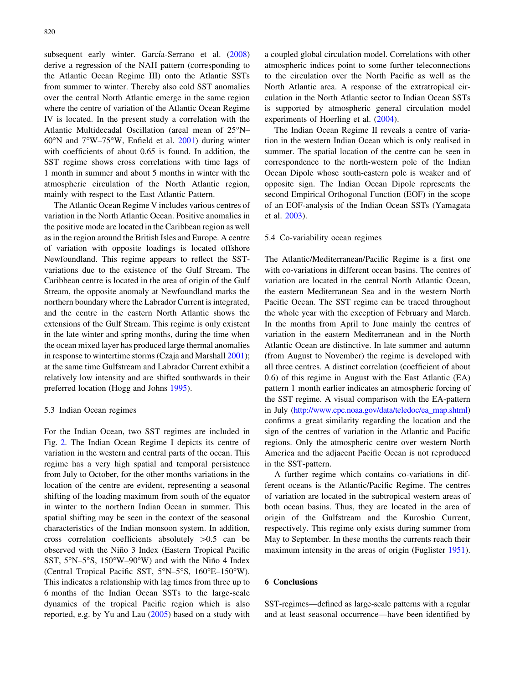subsequent early winter. García-Serrano et al. ([2008\)](#page-11-0) derive a regression of the NAH pattern (corresponding to the Atlantic Ocean Regime III) onto the Atlantic SSTs from summer to winter. Thereby also cold SST anomalies over the central North Atlantic emerge in the same region where the centre of variation of the Atlantic Ocean Regime IV is located. In the present study a correlation with the Atlantic Multidecadal Oscillation (areal mean of 25°N– 60°N and  $7^\circ$ W–75°W, Enfield et al. [2001](#page-11-0)) during winter with coefficients of about 0.65 is found. In addition, the SST regime shows cross correlations with time lags of 1 month in summer and about 5 months in winter with the atmospheric circulation of the North Atlantic region, mainly with respect to the East Atlantic Pattern.

The Atlantic Ocean Regime V includes various centres of variation in the North Atlantic Ocean. Positive anomalies in the positive mode are located in the Caribbean region as well asin the region around the British Isles and Europe. A centre of variation with opposite loadings is located offshore Newfoundland. This regime appears to reflect the SSTvariations due to the existence of the Gulf Stream. The Caribbean centre is located in the area of origin of the Gulf Stream, the opposite anomaly at Newfoundland marks the northern boundary where the Labrador Current is integrated, and the centre in the eastern North Atlantic shows the extensions of the Gulf Stream. This regime is only existent in the late winter and spring months, during the time when the ocean mixed layer has produced large thermal anomalies in response to wintertime storms(Czaja and Marshall [2001](#page-10-0)); at the same time Gulfstream and Labrador Current exhibit a relatively low intensity and are shifted southwards in their preferred location (Hogg and Johns [1995\)](#page-11-0).

#### 5.3 Indian Ocean regimes

For the Indian Ocean, two SST regimes are included in Fig. [2](#page-4-0). The Indian Ocean Regime I depicts its centre of variation in the western and central parts of the ocean. This regime has a very high spatial and temporal persistence from July to October, for the other months variations in the location of the centre are evident, representing a seasonal shifting of the loading maximum from south of the equator in winter to the northern Indian Ocean in summer. This spatial shifting may be seen in the context of the seasonal characteristics of the Indian monsoon system. In addition, cross correlation coefficients absolutely  $>0.5$  can be observed with the Niño 3 Index (Eastern Tropical Pacific SST,  $5^{\circ}N-5^{\circ}S$ ,  $150^{\circ}W-90^{\circ}W$ ) and with the Niño 4 Index (Central Tropical Pacific SST,  $5^{\circ}N-5^{\circ}S$ ,  $160^{\circ}E-150^{\circ}W$ ). This indicates a relationship with lag times from three up to 6 months of the Indian Ocean SSTs to the large-scale dynamics of the tropical Pacific region which is also reported, e.g. by Yu and Lau ([2005](#page-12-0)) based on a study with a coupled global circulation model. Correlations with other atmospheric indices point to some further teleconnections to the circulation over the North Pacific as well as the North Atlantic area. A response of the extratropical circulation in the North Atlantic sector to Indian Ocean SSTs is supported by atmospheric general circulation model experiments of Hoerling et al. ([2004\)](#page-11-0).

The Indian Ocean Regime II reveals a centre of variation in the western Indian Ocean which is only realised in summer. The spatial location of the centre can be seen in correspondence to the north-western pole of the Indian Ocean Dipole whose south-eastern pole is weaker and of opposite sign. The Indian Ocean Dipole represents the second Empirical Orthogonal Function (EOF) in the scope of an EOF-analysis of the Indian Ocean SSTs (Yamagata et al. [2003\)](#page-12-0).

## 5.4 Co-variability ocean regimes

The Atlantic/Mediterranean/Pacific Regime is a first one with co-variations in different ocean basins. The centres of variation are located in the central North Atlantic Ocean, the eastern Mediterranean Sea and in the western North Pacific Ocean. The SST regime can be traced throughout the whole year with the exception of February and March. In the months from April to June mainly the centres of variation in the eastern Mediterranean and in the North Atlantic Ocean are distinctive. In late summer and autumn (from August to November) the regime is developed with all three centres. A distinct correlation (coefficient of about 0.6) of this regime in August with the East Atlantic (EA) pattern 1 month earlier indicates an atmospheric forcing of the SST regime. A visual comparison with the EA-pattern in July ([http://www.cpc.noaa.gov/data/teledoc/ea\\_map.shtml\)](http://www.cpc.noaa.gov/data/teledoc/ea_map.shtml) confirms a great similarity regarding the location and the sign of the centres of variation in the Atlantic and Pacific regions. Only the atmospheric centre over western North America and the adjacent Pacific Ocean is not reproduced in the SST-pattern.

A further regime which contains co-variations in different oceans is the Atlantic/Pacific Regime. The centres of variation are located in the subtropical western areas of both ocean basins. Thus, they are located in the area of origin of the Gulfstream and the Kuroshio Current, respectively. This regime only exists during summer from May to September. In these months the currents reach their maximum intensity in the areas of origin (Fuglister [1951](#page-11-0)).

### 6 Conclusions

SST-regimes—defined as large-scale patterns with a regular and at least seasonal occurrence—have been identified by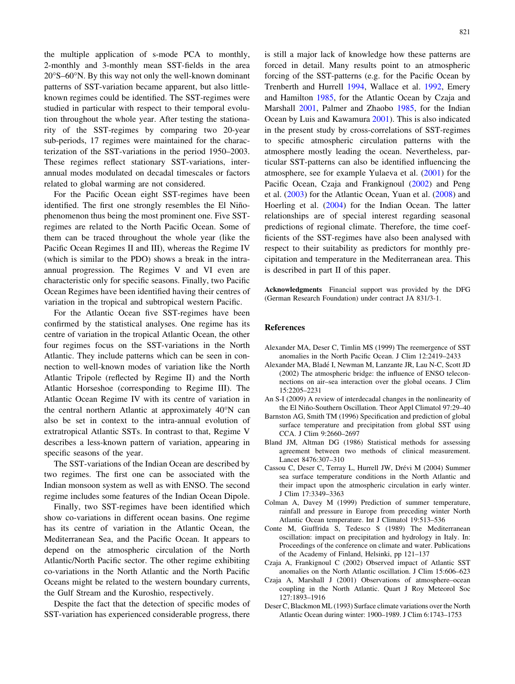<span id="page-10-0"></span>the multiple application of s-mode PCA to monthly, 2-monthly and 3-monthly mean SST-fields in the area  $20^{\circ}$ S–60°N. By this way not only the well-known dominant patterns of SST-variation became apparent, but also littleknown regimes could be identified. The SST-regimes were studied in particular with respect to their temporal evolution throughout the whole year. After testing the stationarity of the SST-regimes by comparing two 20-year sub-periods, 17 regimes were maintained for the characterization of the SST-variations in the period 1950–2003. These regimes reflect stationary SST-variations, interannual modes modulated on decadal timescales or factors related to global warming are not considered.

For the Pacific Ocean eight SST-regimes have been identified. The first one strongly resembles the El Niñophenomenon thus being the most prominent one. Five SSTregimes are related to the North Pacific Ocean. Some of them can be traced throughout the whole year (like the Pacific Ocean Regimes II and III), whereas the Regime IV (which is similar to the PDO) shows a break in the intraannual progression. The Regimes V and VI even are characteristic only for specific seasons. Finally, two Pacific Ocean Regimes have been identified having their centres of variation in the tropical and subtropical western Pacific.

For the Atlantic Ocean five SST-regimes have been confirmed by the statistical analyses. One regime has its centre of variation in the tropical Atlantic Ocean, the other four regimes focus on the SST-variations in the North Atlantic. They include patterns which can be seen in connection to well-known modes of variation like the North Atlantic Tripole (reflected by Regime II) and the North Atlantic Horseshoe (corresponding to Regime III). The Atlantic Ocean Regime IV with its centre of variation in the central northern Atlantic at approximately  $40^{\circ}$ N can also be set in context to the intra-annual evolution of extratropical Atlantic SSTs. In contrast to that, Regime V describes a less-known pattern of variation, appearing in specific seasons of the year.

The SST-variations of the Indian Ocean are described by two regimes. The first one can be associated with the Indian monsoon system as well as with ENSO. The second regime includes some features of the Indian Ocean Dipole.

Finally, two SST-regimes have been identified which show co-variations in different ocean basins. One regime has its centre of variation in the Atlantic Ocean, the Mediterranean Sea, and the Pacific Ocean. It appears to depend on the atmospheric circulation of the North Atlantic/North Pacific sector. The other regime exhibiting co-variations in the North Atlantic and the North Pacific Oceans might be related to the western boundary currents, the Gulf Stream and the Kuroshio, respectively.

Despite the fact that the detection of specific modes of SST-variation has experienced considerable progress, there is still a major lack of knowledge how these patterns are forced in detail. Many results point to an atmospheric forcing of the SST-patterns (e.g. for the Pacific Ocean by Trenberth and Hurrell [1994,](#page-11-0) Wallace et al. [1992,](#page-11-0) Emery and Hamilton [1985](#page-11-0), for the Atlantic Ocean by Czaja and Marshall 2001, Palmer and Zhaobo [1985](#page-11-0), for the Indian Ocean by Luis and Kawamura [2001\)](#page-11-0). This is also indicated in the present study by cross-correlations of SST-regimes to specific atmospheric circulation patterns with the atmosphere mostly leading the ocean. Nevertheless, particular SST-patterns can also be identified influencing the atmosphere, see for example Yulaeva et al. [\(2001](#page-12-0)) for the Pacific Ocean, Czaja and Frankignoul (2002) and Peng et al. [\(2003](#page-11-0)) for the Atlantic Ocean, Yuan et al. ([2008\)](#page-11-0) and Hoerling et al. [\(2004](#page-11-0)) for the Indian Ocean. The latter relationships are of special interest regarding seasonal predictions of regional climate. Therefore, the time coefficients of the SST-regimes have also been analysed with respect to their suitability as predictors for monthly precipitation and temperature in the Mediterranean area. This is described in part II of this paper.

Acknowledgments Financial support was provided by the DFG (German Research Foundation) under contract JA 831/3-1.

#### References

- Alexander MA, Deser C, Timlin MS (1999) The reemergence of SST anomalies in the North Pacific Ocean. J Clim 12:2419–2433
- Alexander MA, Bladé I, Newman M, Lanzante JR, Lau N-C, Scott JD (2002) The atmospheric bridge: the influence of ENSO teleconnections on air–sea interaction over the global oceans. J Clim 15:2205–2231
- An S-I (2009) A review of interdecadal changes in the nonlinearity of the El Niño-Southern Oscillation. Theor Appl Climatol 97:29–40
- Barnston AG, Smith TM (1996) Specification and prediction of global surface temperature and precipitation from global SST using CCA. J Clim 9:2660–2697
- Bland JM, Altman DG (1986) Statistical methods for assessing agreement between two methods of clinical measurement. Lancet 8476:307–310
- Cassou C, Deser C, Terray L, Hurrell JW, Drévi M (2004) Summer sea surface temperature conditions in the North Atlantic and their impact upon the atmospheric circulation in early winter. J Clim 17:3349–3363
- Colman A, Davey M (1999) Prediction of summer temperature, rainfall and pressure in Europe from preceding winter North Atlantic Ocean temperature. Int J Climatol 19:513–536
- Conte M, Giuffrida S, Tedesco S (1989) The Mediterranean oscillation: impact on precipitation and hydrology in Italy. In: Proceedings of the conference on climate and water. Publications of the Academy of Finland, Helsinki, pp 121–137
- Czaja A, Frankignoul C (2002) Observed impact of Atlantic SST anomalies on the North Atlantic oscillation. J Clim 15:606–623
- Czaja A, Marshall J (2001) Observations of atmosphere–ocean coupling in the North Atlantic. Quart J Roy Meteorol Soc 127:1893–1916
- Deser C,Blackmon ML (1993) Surface climate variations overthe North Atlantic Ocean during winter: 1900–1989. J Clim 6:1743–1753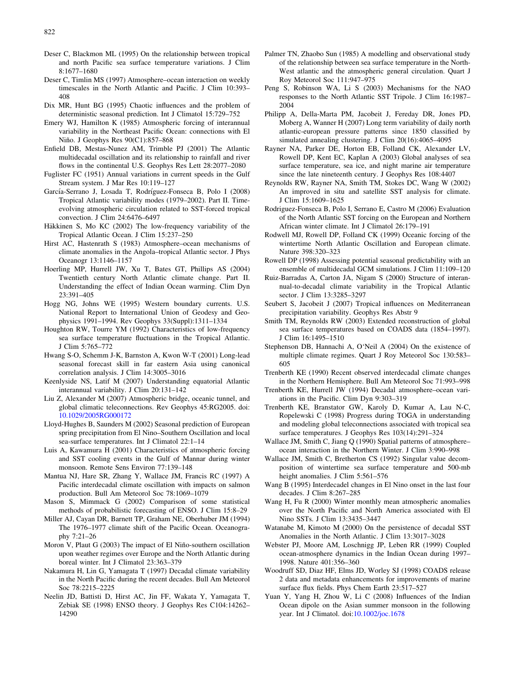- <span id="page-11-0"></span>Deser C, Blackmon ML (1995) On the relationship between tropical and north Pacific sea surface temperature variations. J Clim 8:1677–1680
- Deser C, Timlin MS (1997) Atmosphere–ocean interaction on weekly timescales in the North Atlantic and Pacific. J Clim 10:393– 408
- Dix MR, Hunt BG (1995) Chaotic influences and the problem of deterministic seasonal prediction. Int J Climatol 15:729–752
- Emery WJ, Hamilton K (1985) Atmospheric forcing of interannual variability in the Northeast Pacific Ocean: connections with El Niño. J Geophys Res 90(C1):857-868
- Enfield DB, Mestas-Nunez AM, Trimble PJ (2001) The Atlantic multidecadal oscillation and its relationship to rainfall and river flows in the continental U.S. Geophys Res Lett 28:2077–2080
- Fuglister FC (1951) Annual variations in current speeds in the Gulf Stream system. J Mar Res 10:119–127
- García-Serrano J, Losada T, Rodríguez-Fonseca B, Polo I (2008) Tropical Atlantic variability modes (1979–2002). Part II. Timeevolving atmospheric circulation related to SST-forced tropical convection. J Clim 24:6476–6497
- Häkkinen S, Mo KC (2002) The low-frequency variability of the Tropical Atlantic Ocean. J Clim 15:237–250
- Hirst AC, Hastenrath S (1983) Atmosphere–ocean mechanisms of climate anomalies in the Angola–tropical Atlantic sector. J Phys Oceanogr 13:1146–1157
- Hoerling MP, Hurrell JW, Xu T, Bates GT, Phillips AS (2004) Twentieth century North Atlantic climate change. Part II. Understanding the effect of Indian Ocean warming. Clim Dyn 23:391–405
- Hogg NG, Johns WE (1995) Western boundary currents. U.S. National Report to International Union of Geodesy and Geophysics 1991–1994. Rev Geophys 33(Suppl):1311–1334
- Houghton RW, Tourre YM (1992) Characteristics of low-frequency sea surface temperature fluctuations in the Tropical Atlantic. J Clim 5:765–772
- Hwang S-O, Schemm J-K, Barnston A, Kwon W-T (2001) Long-lead seasonal forecast skill in far eastern Asia using canonical correlation analysis. J Clim 14:3005–3016
- Keenlyside NS, Latif M (2007) Understanding equatorial Atlantic interannual variability. J Clim 20:131–142
- Liu Z, Alexander M (2007) Atmospheric bridge, oceanic tunnel, and global climatic teleconnections. Rev Geophys 45:RG2005. doi: [10.1029/2005RG000172](http://dx.doi.org/10.1029/2005RG000172)
- Lloyd-Hughes B, Saunders M (2002) Seasonal prediction of European spring precipitation from El Nino–Southern Oscillation and local sea-surface temperatures. Int J Climatol 22:1–14
- Luis A, Kawamura H (2001) Characteristics of atmospheric forcing and SST cooling events in the Gulf of Mannar during winter monsoon. Remote Sens Environ 77:139–148
- Mantua NJ, Hare SR, Zhang Y, Wallace JM, Francis RC (1997) A Pacific interdecadal climate oscillation with impacts on salmon production. Bull Am Meteorol Soc 78:1069–1079
- Mason S, Mimmack G (2002) Comparison of some statistical methods of probabilistic forecasting of ENSO. J Clim 15:8–29
- Miller AJ, Cayan DR, Barnett TP, Graham NE, Oberhuber JM (1994) The 1976–1977 climate shift of the Pacific Ocean. Oceanography 7:21–26
- Moron V, Plaut G (2003) The impact of El Niño-southern oscillation upon weather regimes over Europe and the North Atlantic during boreal winter. Int J Climatol 23:363–379
- Nakamura H, Lin G, Yamagata T (1997) Decadal climate variability in the North Pacific during the recent decades. Bull Am Meteorol Soc 78:2215–2225
- Neelin JD, Battisti D, Hirst AC, Jin FF, Wakata Y, Yamagata T, Zebiak SE (1998) ENSO theory. J Geophys Res C104:14262– 14290
- Palmer TN, Zhaobo Sun (1985) A modelling and observational study of the relationship between sea surface temperature in the North-West atlantic and the atmospheric general circulation. Quart J Roy Meteorol Soc 111:947–975
- Peng S, Robinson WA, Li S (2003) Mechanisms for the NAO responses to the North Atlantic SST Tripole. J Clim 16:1987– 2004
- Philipp A, Della-Marta PM, Jacobeit J, Fereday DR, Jones PD, Moberg A, Wanner H (2007) Long term variability of daily north atlantic-european pressure patterns since 1850 classified by simulated annealing clustering. J Clim 20(16):4065–4095
- Rayner NA, Parker DE, Horton EB, Folland CK, Alexander LV, Rowell DP, Kent EC, Kaplan A (2003) Global analyses of sea surface temperature, sea ice, and night marine air temperature since the late nineteenth century. J Geophys Res 108:4407
- Reynolds RW, Rayner NA, Smith TM, Stokes DC, Wang W (2002) An improved in situ and satellite SST analysis for climate. J Clim 15:1609–1625
- Rodriguez-Fonseca B, Polo I, Serrano E, Castro M (2006) Evaluation of the North Atlantic SST forcing on the European and Northern African winter climate. Int J Climatol 26:179–191
- Rodwell MJ, Rowell DP, Folland CK (1999) Oceanic forcing of the wintertime North Atlantic Oscillation and European climate. Nature 398:320–323
- Rowell DP (1998) Assessing potential seasonal predictability with an ensemble of multidecadal GCM simulations. J Clim 11:109–120
- Ruiz-Barradas A, Carton JA, Nigam S (2000) Structure of interannual-to-decadal climate variability in the Tropical Atlantic sector. J Clim 13:3285–3297
- Seubert S, Jacobeit J (2007) Tropical influences on Mediterranean precipitation variability. Geophys Res Abstr 9
- Smith TM, Reynolds RW (2003) Extended reconstruction of global sea surface temperatures based on COADS data (1854–1997). J Clim 16:1495–1510
- Stephenson DB, Hannachi A, O'Neil A (2004) On the existence of multiple climate regimes. Quart J Roy Meteorol Soc 130:583– 605
- Trenberth KE (1990) Recent observed interdecadal climate changes in the Northern Hemisphere. Bull Am Meteorol Soc 71:993–998
- Trenberth KE, Hurrell JW (1994) Decadal atmosphere–ocean variations in the Pacific. Clim Dyn 9:303–319
- Trenberth KE, Branstator GW, Karoly D, Kumar A, Lau N-C, Ropelewski C (1998) Progress during TOGA in understanding and modeling global teleconnections associated with tropical sea surface temperatures. J Geophys Res 103(14):291–324
- Wallace JM, Smith C, Jiang Q (1990) Spatial patterns of atmosphere– ocean interaction in the Northern Winter. J Clim 3:990–998
- Wallace JM, Smith C, Bretherton CS (1992) Singular value decomposition of wintertime sea surface temperature and 500-mb height anomalies. J Clim 5:561–576
- Wang B (1995) Interdecadel changes in El Nino onset in the last four decades. J Clim 8:267–285
- Wang H, Fu R (2000) Winter monthly mean atmospheric anomalies over the North Pacific and North America associated with El Nino SSTs. J Clim 13:3435–3447
- Watanabe M, Kimoto M (2000) On the persistence of decadal SST Anomalies in the North Atlantic. J Clim 13:3017–3028
- Webster PJ, Moore AM, Loschnigg JP, Leben RR (1999) Coupled ocean-atmosphere dynamics in the Indian Ocean during 1997– 1998. Nature 401:356–360
- Woodruff SD, Diaz HF, Elms JD, Worley SJ (1998) COADS release 2 data and metadata enhancements for improvements of marine surface flux fields. Phys Chem Earth 23:517–527
- Yuan Y, Yang H, Zhou W, Li C (2008) Influences of the Indian Ocean dipole on the Asian summer monsoon in the following year. Int J Climatol. doi: 10.1002/joc.1678